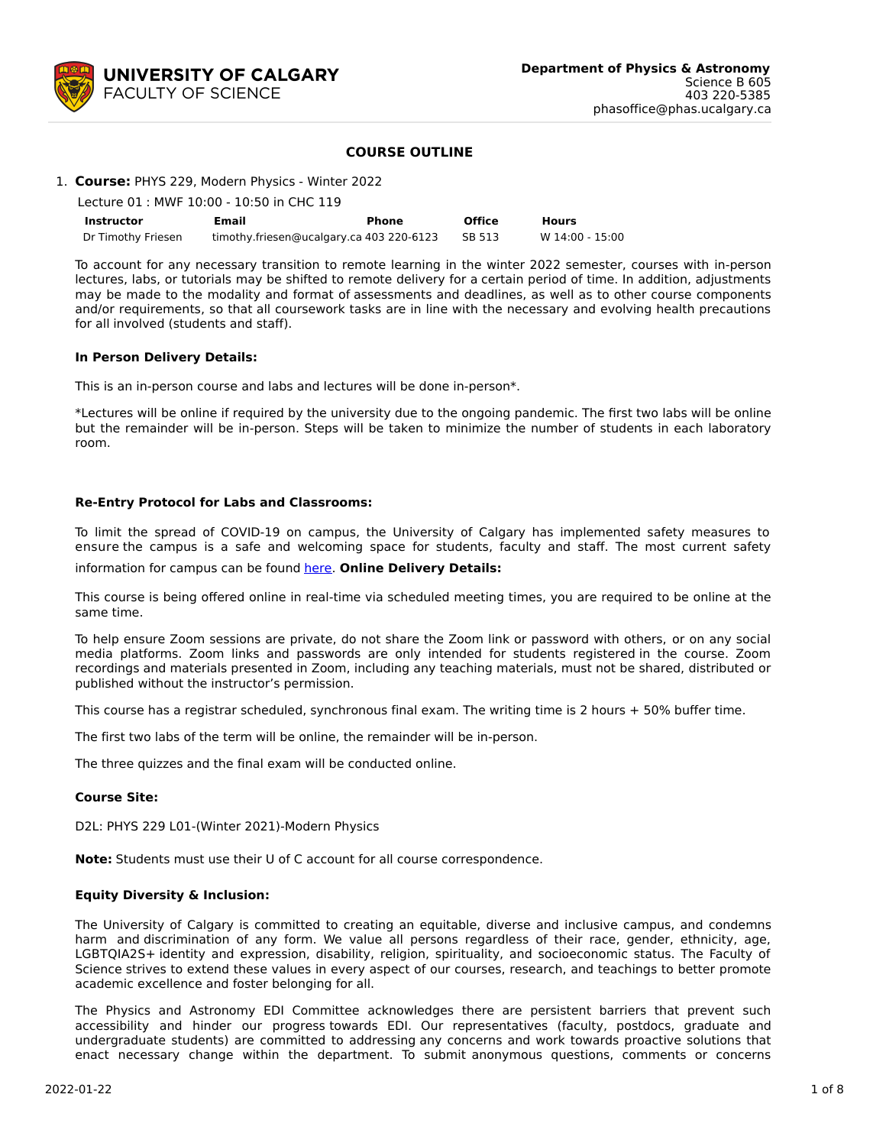

# **COURSE OUTLINE**

|  |  | 1. Course: PHYS 229, Modern Physics - Winter 2022 |
|--|--|---------------------------------------------------|
|  |  |                                                   |

| Lecture 01 : MWF 10:00 - 10:50 in CHC 119 |                                          |       |        |                 |  |  |  |
|-------------------------------------------|------------------------------------------|-------|--------|-----------------|--|--|--|
| Instructor                                | Email                                    | Phone | Office | <b>Hours</b>    |  |  |  |
| Dr Timothy Friesen                        | timothy.friesen@ucalgary.ca 403 220-6123 |       | SB 513 | W 14:00 - 15:00 |  |  |  |

To account for any necessary transition to remote learning in the winter 2022 semester, courses with in-person lectures, labs, or tutorials may be shifted to remote delivery for a certain period of time. In addition, adjustments may be made to the modality and format of assessments and deadlines, as well as to other course components and/or requirements, so that all coursework tasks are in line with the necessary and evolving health precautions for all involved (students and staff).

## **In Person Delivery Details:**

This is an in-person course and labs and lectures will be done in-person\*.

\*Lectures will be online if required by the university due to the ongoing pandemic. The first two labs will be online but the remainder will be in-person. Steps will be taken to minimize the number of students in each laboratory room.

# **Re-Entry Protocol for Labs and Classrooms:**

To limit the spread of COVID-19 on campus, the University of Calgary has implemented safety measures to ensure the campus is a safe and welcoming space for students, faculty and staff. The most current safety

information for campus can be found [here](https://www.ucalgary.ca/risk/emergency-management/covid-19-response/return-campus-safety). **Online Delivery Details:**

This course is being offered online in real-time via scheduled meeting times, you are required to be online at the same time.

To help ensure Zoom sessions are private, do not share the Zoom link or password with others, or on any social media platforms. Zoom links and passwords are only intended for students registered in the course. Zoom recordings and materials presented in Zoom, including any teaching materials, must not be shared, distributed or published without the instructor's permission.

This course has a registrar scheduled, synchronous final exam. The writing time is 2 hours + 50% buffer time.

The first two labs of the term will be online, the remainder will be in-person.

The three quizzes and the final exam will be conducted online.

# **Course Site:**

D2L: PHYS 229 L01-(Winter 2021)-Modern Physics

**Note:** Students must use their U of C account for all course correspondence.

## **Equity Diversity & Inclusion:**

The University of Calgary is committed to creating an equitable, diverse and inclusive campus, and condemns harm and discrimination of any form. We value all persons regardless of their race, gender, ethnicity, age, LGBTQIA2S+ identity and expression, disability, religion, spirituality, and socioeconomic status. The Faculty of Science strives to extend these values in every aspect of our courses, research, and teachings to better promote academic excellence and foster belonging for all.

The Physics and Astronomy EDI Committee acknowledges there are persistent barriers that prevent such accessibility and hinder our progress towards EDI. Our representatives (faculty, postdocs, graduate and undergraduate students) are committed to addressing any concerns and work towards proactive solutions that enact necessary change within the department. To submit anonymous questions, comments or concerns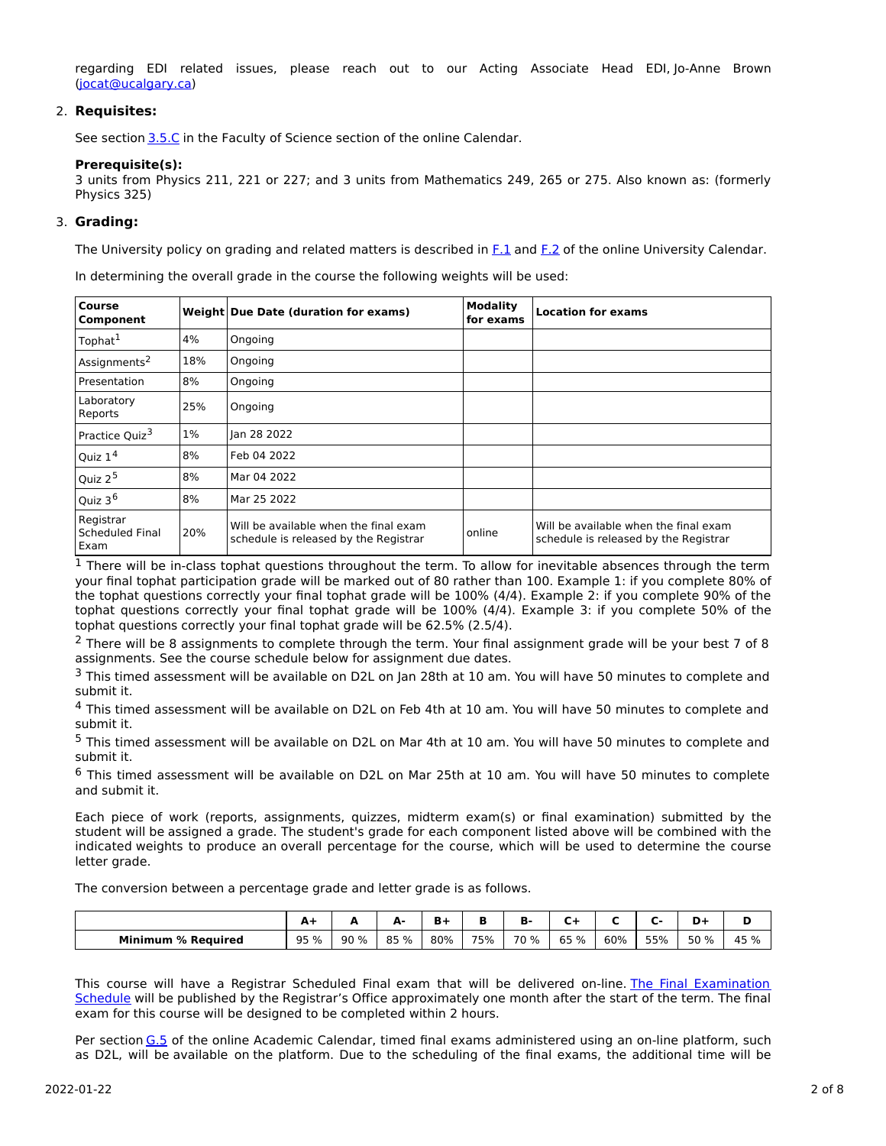regarding EDI related issues, please reach out to our Acting Associate Head EDI, Jo-Anne Brown [\(jocat@ucalgary.ca](mailto:jocat@ucalgary.ca))

## 2. **Requisites:**

See section [3.5.C](http://www.ucalgary.ca/pubs/calendar/current/sc-3-5.html) in the Faculty of Science section of the online Calendar.

## **Prerequisite(s):**

3 units from Physics 211, 221 or 227; and 3 units from Mathematics 249, 265 or 275. Also known as: (formerly Physics 325)

## 3. **Grading:**

The University policy on grading and related matters is described in [F.1](http://www.ucalgary.ca/pubs/calendar/current/f-1.html) and [F.2](http://www.ucalgary.ca/pubs/calendar/current/f-2.html) of the online University Calendar.

In determining the overall grade in the course the following weights will be used:

| <b>Course</b><br>Component           |       | Weight Due Date (duration for exams)                                           | <b>Modality</b><br>for exams | <b>Location for exams</b>                                                      |
|--------------------------------------|-------|--------------------------------------------------------------------------------|------------------------------|--------------------------------------------------------------------------------|
| Tophat <sup>1</sup>                  | 4%    | Ongoing                                                                        |                              |                                                                                |
| Assignments <sup>2</sup>             | 18%   | Ongoing                                                                        |                              |                                                                                |
| Presentation                         | 8%    | Ongoing                                                                        |                              |                                                                                |
| Laboratory<br>Reports                | 25%   | Ongoing                                                                        |                              |                                                                                |
| Practice Quiz <sup>3</sup>           | $1\%$ | lan 28 2022                                                                    |                              |                                                                                |
| Quiz $14$                            | 8%    | Feb 04 2022                                                                    |                              |                                                                                |
| Quiz 2 <sup>5</sup>                  | 8%    | Mar 04 2022                                                                    |                              |                                                                                |
| Quiz 3 <sup>6</sup>                  | 8%    | Mar 25 2022                                                                    |                              |                                                                                |
| Registrar<br>Scheduled Final<br>Exam | 20%   | Will be available when the final exam<br>schedule is released by the Registrar | online                       | Will be available when the final exam<br>schedule is released by the Registrar |

 $1$  There will be in-class tophat questions throughout the term. To allow for inevitable absences through the term your final tophat participation grade will be marked out of 80 rather than 100. Example 1: if you complete 80% of the tophat questions correctly your final tophat grade will be 100% (4/4). Example 2: if you complete 90% of the tophat questions correctly your final tophat grade will be 100% (4/4). Example 3: if you complete 50% of the tophat questions correctly your final tophat grade will be 62.5% (2.5/4).

<sup>2</sup> There will be 8 assignments to complete through the term. Your final assignment grade will be your best 7 of 8 assignments. See the course schedule below for assignment due dates.

<sup>3</sup> This timed assessment will be available on D2L on Jan 28th at 10 am. You will have 50 minutes to complete and submit it.

<sup>4</sup> This timed assessment will be available on D2L on Feb 4th at 10 am. You will have 50 minutes to complete and submit it.

<sup>5</sup> This timed assessment will be available on D2L on Mar 4th at 10 am. You will have 50 minutes to complete and submit it.

<sup>6</sup> This timed assessment will be available on D2L on Mar 25th at 10 am. You will have 50 minutes to complete and submit it.

Each piece of work (reports, assignments, quizzes, midterm exam(s) or final examination) submitted by the student will be assigned a grade. The student's grade for each component listed above will be combined with the indicated weights to produce an overall percentage for the course, which will be used to determine the course letter grade.

The conversion between a percentage grade and letter grade is as follows.

|                           | . .  | -    | . .<br>- | в.  |     | . .  |         |     |     | -    |            |
|---------------------------|------|------|----------|-----|-----|------|---------|-----|-----|------|------------|
| <b>Minimum % Required</b> | 95 % | 90 % | 85 %     | 80% | 75% | 70 % | %<br>65 | 60% | 55% | 50 % | 15 %<br>45 |

This course will have a Registrar Scheduled Final exam that will be delivered on-line. The Final Examination Schedule will be published by the Registrar's Office [approximately](https://www.ucalgary.ca/registrar/exams) one month after the start of the term. The final exam for this course will be designed to be completed within 2 hours.

Per section [G.5](https://www.ucalgary.ca/pubs/calendar/current/g-5.html) of the online Academic Calendar, timed final exams administered using an on-line platform, such as D2L, will be available on the platform. Due to the scheduling of the final exams, the additional time will be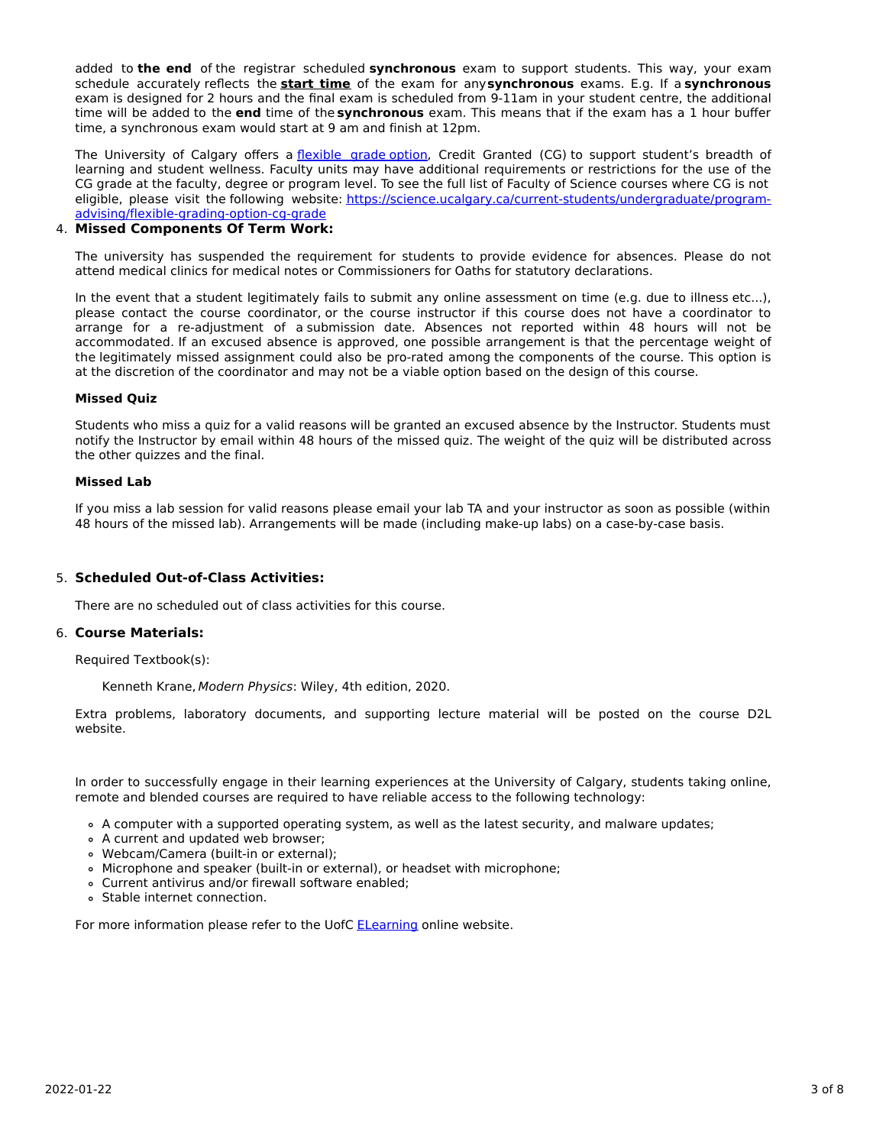added to **the end** of the registrar scheduled **synchronous** exam to support students. This way, your exam schedule accurately reflects the **start time** of the exam for any**synchronous** exams. E.g. If a **synchronous** exam is designed for 2 hours and the final exam is scheduled from 9-11am in your student centre, the additional time will be added to the **end** time of the **synchronous** exam. This means that if the exam has a 1 hour buffer time, a synchronous exam would start at 9 am and finish at 12pm.

The University of Calgary offers a *[flexible](https://www.ucalgary.ca/pubs/calendar/current/f-1-3.html) grade option*, Credit Granted (CG) to support student's breadth of learning and student wellness. Faculty units may have additional requirements or restrictions for the use of the CG grade at the faculty, degree or program level. To see the full list of Faculty of Science courses where CG is not eligible, please visit the following website: [https://science.ucalgary.ca/current-students/undergraduate/program](https://science.ucalgary.ca/current-students/undergraduate/program-advising/flexible-grading-option-cg-grade)advising/flexible-grading-option-cg-grade

## 4. **Missed Components Of Term Work:**

The university has suspended the requirement for students to provide evidence for absences. Please do not attend medical clinics for medical notes or Commissioners for Oaths for statutory declarations.

In the event that a student legitimately fails to submit any online assessment on time (e.g. due to illness etc...), please contact the course coordinator, or the course instructor if this course does not have a coordinator to arrange for a re-adjustment of a submission date. Absences not reported within 48 hours will not be accommodated. If an excused absence is approved, one possible arrangement is that the percentage weight of the legitimately missed assignment could also be pro-rated among the components of the course. This option is at the discretion of the coordinator and may not be a viable option based on the design of this course.

## **Missed Quiz**

Students who miss a quiz for a valid reasons will be granted an excused absence by the Instructor. Students must notify the Instructor by email within 48 hours of the missed quiz. The weight of the quiz will be distributed across the other quizzes and the final.

## **Missed Lab**

If you miss a lab session for valid reasons please email your lab TA and your instructor as soon as possible (within 48 hours of the missed lab). Arrangements will be made (including make-up labs) on a case-by-case basis.

# 5. **Scheduled Out-of-Class Activities:**

There are no scheduled out of class activities for this course.

#### 6. **Course Materials:**

Required Textbook(s):

Kenneth Krane, Modern Physics: Wiley, 4th edition, 2020.

Extra problems, laboratory documents, and supporting lecture material will be posted on the course D2L website.

In order to successfully engage in their learning experiences at the University of Calgary, students taking online, remote and blended courses are required to have reliable access to the following technology:

- A computer with a supported operating system, as well as the latest security, and malware updates;
- A current and updated web browser;
- Webcam/Camera (built-in or external);
- Microphone and speaker (built-in or external), or headset with microphone;
- Current antivirus and/or firewall software enabled;
- Stable internet connection.

For more information please refer to the UofC **[ELearning](https://elearn.ucalgary.ca/technology-requirements-for-students)** online website.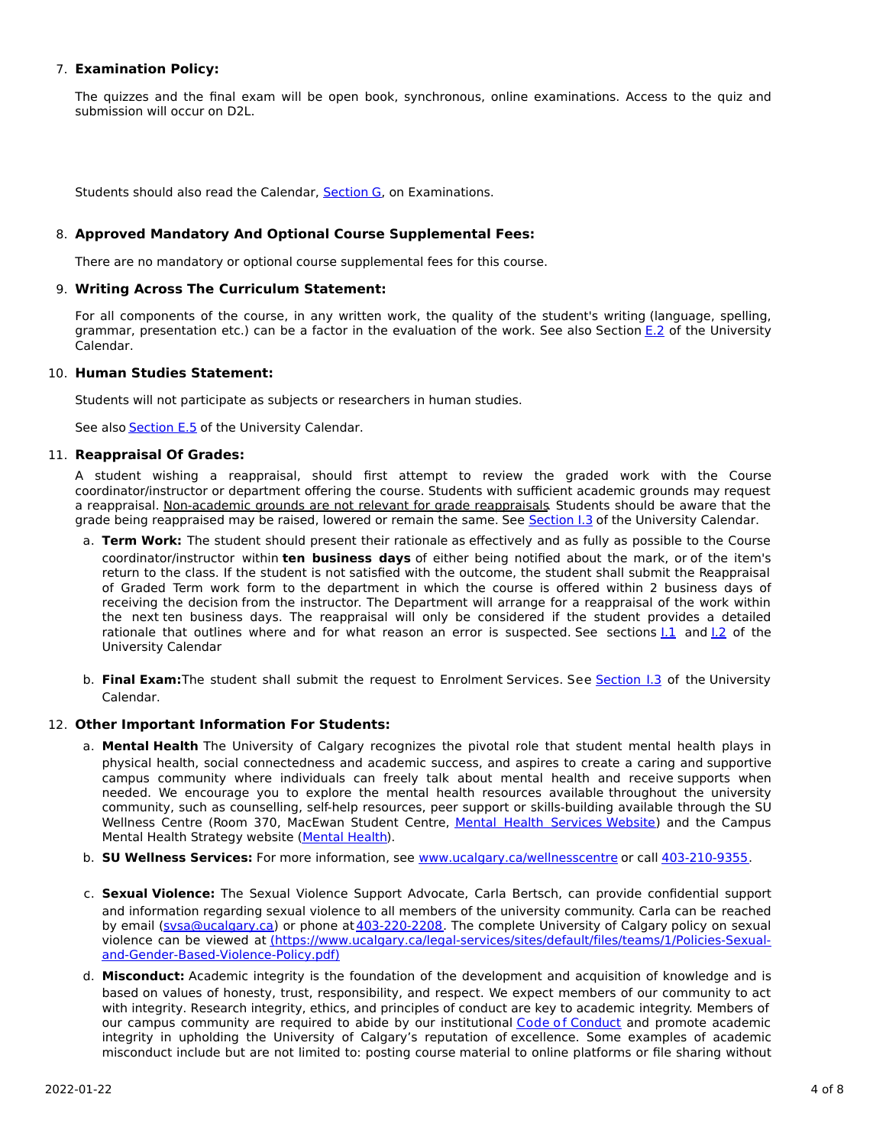# 7. **Examination Policy:**

The quizzes and the final exam will be open book, synchronous, online examinations. Access to the quiz and submission will occur on D2L.

Students should also read the Calendar, [Section](http://www.ucalgary.ca/pubs/calendar/current/g.html) G, on Examinations.

# 8. **Approved Mandatory And Optional Course Supplemental Fees:**

There are no mandatory or optional course supplemental fees for this course.

# 9. **Writing Across The Curriculum Statement:**

For all components of the course, in any written work, the quality of the student's writing (language, spelling, grammar, presentation etc.) can be a factor in the evaluation of the work. See also Section [E.2](http://www.ucalgary.ca/pubs/calendar/current/e-2.html) of the University Calendar.

# 10. **Human Studies Statement:**

Students will not participate as subjects or researchers in human studies.

See also [Section](http://www.ucalgary.ca/pubs/calendar/current/e-5.html) E.5 of the University Calendar.

## 11. **Reappraisal Of Grades:**

A student wishing a reappraisal, should first attempt to review the graded work with the Course coordinator/instructor or department offering the course. Students with sufficient academic grounds may request a reappraisal. Non-academic grounds are not relevant for grade reappraisals. Students should be aware that the grade being reappraised may be raised, lowered or remain the same. See [Section](http://www.ucalgary.ca/pubs/calendar/current/i-3.html) I.3 of the University Calendar.

- a. **Term Work:** The student should present their rationale as effectively and as fully as possible to the Course coordinator/instructor within **ten business days** of either being notified about the mark, or of the item's return to the class. If the student is not satisfied with the outcome, the student shall submit the Reappraisal of Graded Term work form to the department in which the course is offered within 2 business days of receiving the decision from the instructor. The Department will arrange for a reappraisal of the work within the next ten business days. The reappraisal will only be considered if the student provides a detailed rationale that outlines where and for what reason an error is suspected. See sections  $1.1$  and  $1.2$  of the University Calendar
- b. **Final Exam:**The student shall submit the request to Enrolment Services. See [Section](http://www.ucalgary.ca/pubs/calendar/current/i-3.html) I.3 of the University Calendar.

# 12. **Other Important Information For Students:**

- a. **Mental Health** The University of Calgary recognizes the pivotal role that student mental health plays in physical health, social connectedness and academic success, and aspires to create a caring and supportive campus community where individuals can freely talk about mental health and receive supports when needed. We encourage you to explore the mental health resources available throughout the university community, such as counselling, self-help resources, peer support or skills-building available through the SU Wellness Centre (Room 370, MacEwan Student Centre, Mental Health [Services](https://www.ucalgary.ca/wellnesscentre/services/mental-health-services) Website) and the Campus Mental Health Strategy website [\(Mental](http://www.ucalgary.ca/mentalhealth) Health).
- b. **SU Wellness Services:** For more information, see [www.ucalgary.ca/wellnesscentre](http://www.ucalgary.ca/wellnesscentre) or call [403-210-9355.](tel:4032109355)
- c. **Sexual Violence:** The Sexual Violence Support Advocate, Carla Bertsch, can provide confidential support and information regarding sexual violence to all members of the university community. Carla can be reached by email [\(svsa@ucalgary.ca](mailto:svsa@ucalgary.ca)) or phone at [403-220-2208](tel:4032202208). The complete University of Calgary policy on sexual violence can be viewed at [\(https://www.ucalgary.ca/legal-services/sites/default/files/teams/1/Policies-Sexual](https://www.ucalgary.ca/legal-services/sites/default/files/teams/1/Policies-Sexual-and-Gender-Based-Violence-Policy.pdf)and-Gender-Based-Violence-Policy.pdf)
- d. **Misconduct:** Academic integrity is the foundation of the development and acquisition of knowledge and is based on values of honesty, trust, responsibility, and respect. We expect members of our community to act with integrity. Research integrity, ethics, and principles of conduct are key to academic integrity. Members of our campus community are required to abide by our institutional Code of [Conduct](https://www.ucalgary.ca/legal-services/sites/default/files/teams/1/Policies-Code-of-Conduct.pdf) and promote academic integrity in upholding the University of Calgary's reputation of excellence. Some examples of academic misconduct include but are not limited to: posting course material to online platforms or file sharing without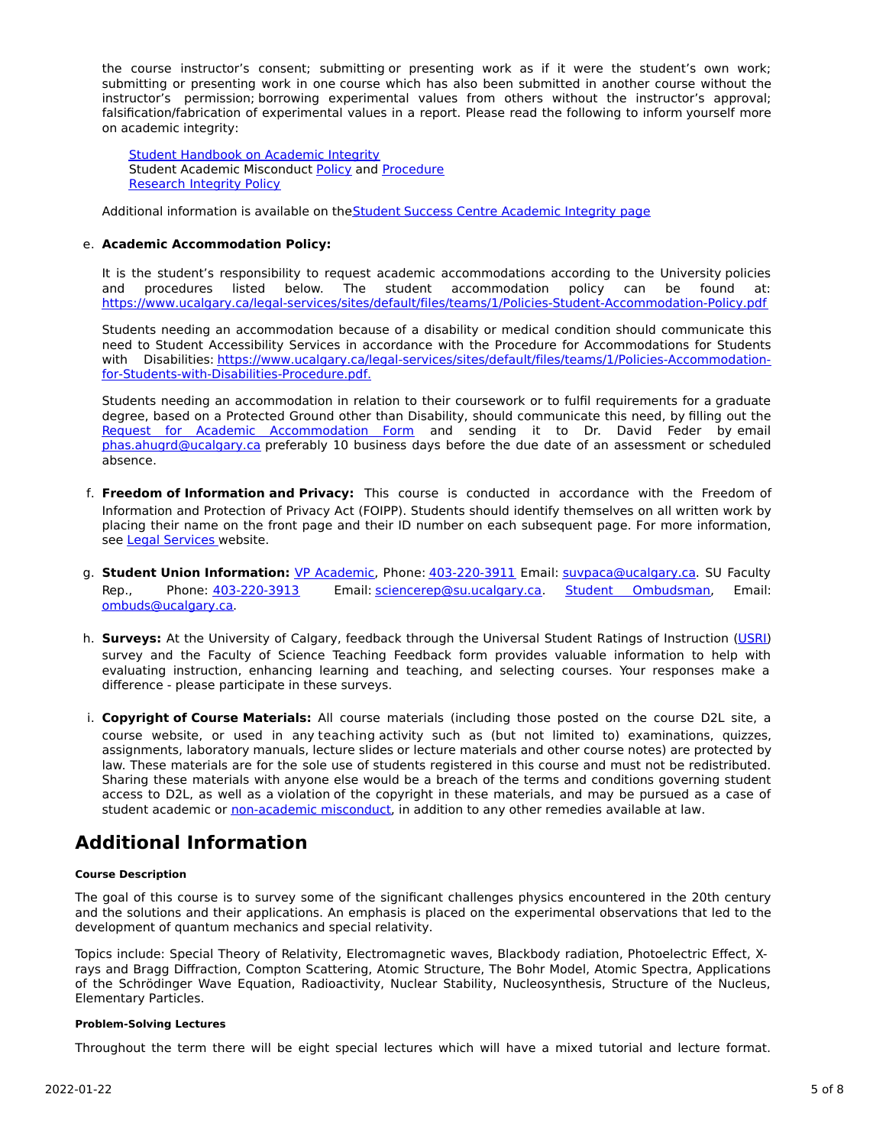the course instructor's consent; submitting or presenting work as if it were the student's own work; submitting or presenting work in one course which has also been submitted in another course without the instructor's permission; borrowing experimental values from others without the instructor's approval; falsification/fabrication of experimental values in a report. Please read the following to inform yourself more on academic integrity:

Student [Handbook](https://www.ucalgary.ca/live-uc-ucalgary-site/sites/default/files/teams/9/AI-Student-handbook-1.pdf) on Academic Integrity Student Academic Misconduct [Policy](https://www.ucalgary.ca/legal-services/sites/default/files/teams/1/Policies-Student-Academic-Misconduct-Policy.pdf) and [Procedure](https://www.ucalgary.ca/legal-services/sites/default/files/teams/1/Policies-Student-Academic-Misconduct-Procedure.pdf) [Research](https://www.ucalgary.ca/legal-services/sites/default/files/teams/1/Policies-Research-Integrity-Policy.pdf) Integrity Policy

Additional information is available on the Student Success Centre [Academic](https://ucalgary.ca/student-services/student-success/learning/academic-integrity) Integrity page

# e. **Academic Accommodation Policy:**

It is the student's responsibility to request academic accommodations according to the University policies and procedures listed below. The student accommodation policy can be found at: <https://www.ucalgary.ca/legal-services/sites/default/files/teams/1/Policies-Student-Accommodation-Policy.pdf>

Students needing an accommodation because of a disability or medical condition should communicate this need to Student Accessibility Services in accordance with the Procedure for Accommodations for Students with Disabilities: [https://www.ucalgary.ca/legal-services/sites/default/files/teams/1/Policies-Accommodation](https://www.ucalgary.ca/legal-services/sites/default/files/teams/1/Policies-Accommodation-for-Students-with-Disabilities-Procedure.pdf)for-Students-with-Disabilities-Procedure.pdf.

Students needing an accommodation in relation to their coursework or to fulfil requirements for a graduate degree, based on a Protected Ground other than Disability, should communicate this need, by filling out the Request for Academic [Accommodation](https://science.ucalgary.ca/sites/default/files/teams/1/request-accommodation-academic-courses.pdf) Form and sending it to Dr. David Feder by email [phas.ahugrd@ucalgary.ca](mailto:phas.ahugrd@ucalgary.ca) preferably 10 business days before the due date of an assessment or scheduled absence.

- f. **Freedom of Information and Privacy:** This course is conducted in accordance with the Freedom of Information and Protection of Privacy Act (FOIPP). Students should identify themselves on all written work by placing their name on the front page and their ID number on each subsequent page. For more information, see Legal [Services](https://www.ucalgary.ca/legal-services/access-information-privacy) website.
- g. **Student Union Information:** VP [Academic](http://www.su.ucalgary.ca/contact), Phone: [403-220-3911](tel:4032203911) Email: [suvpaca@ucalgary.ca](mailto:suvpaca@ucalgary.ca). SU Faculty Rep., Phone: [403-220-3913](tel:4032203913) Email: [sciencerep@su.ucalgary.ca](mailto:sciencerep@su.ucalgary.ca). Student [Ombudsman](https://www.ucalgary.ca/ombuds/), Email: [ombuds@ucalgary.ca](mailto:%20ombuds@ucalgary.ca).
- h. **Surveys:** At the University of Calgary, feedback through the Universal Student Ratings of Instruction [\(USRI](http://www.ucalgary.ca/usri)) survey and the Faculty of Science Teaching Feedback form provides valuable information to help with evaluating instruction, enhancing learning and teaching, and selecting courses. Your responses make a difference - please participate in these surveys.
- i. **Copyright of Course Materials:** All course materials (including those posted on the course D2L site, a course website, or used in any teaching activity such as (but not limited to) examinations, quizzes, assignments, laboratory manuals, lecture slides or lecture materials and other course notes) are protected by law. These materials are for the sole use of students registered in this course and must not be redistributed. Sharing these materials with anyone else would be a breach of the terms and conditions governing student access to D2L, as well as a violation of the copyright in these materials, and may be pursued as a case of student academic or [non-academic](https://www.ucalgary.ca/conduct/policy/non-academic-misconduct-policy) misconduct, in addition to any other remedies available at law.

# **Additional Information**

#### **Course Description**

The goal of this course is to survey some of the significant challenges physics encountered in the 20th century and the solutions and their applications. An emphasis is placed on the experimental observations that led to the development of quantum mechanics and special relativity.

Topics include: Special Theory of Relativity, Electromagnetic waves, Blackbody radiation, Photoelectric Effect, Xrays and Bragg Diffraction, Compton Scattering, Atomic Structure, The Bohr Model, Atomic Spectra, Applications of the Schrödinger Wave Equation, Radioactivity, Nuclear Stability, Nucleosynthesis, Structure of the Nucleus, Elementary Particles.

#### **Problem-Solving Lectures**

Throughout the term there will be eight special lectures which will have a mixed tutorial and lecture format.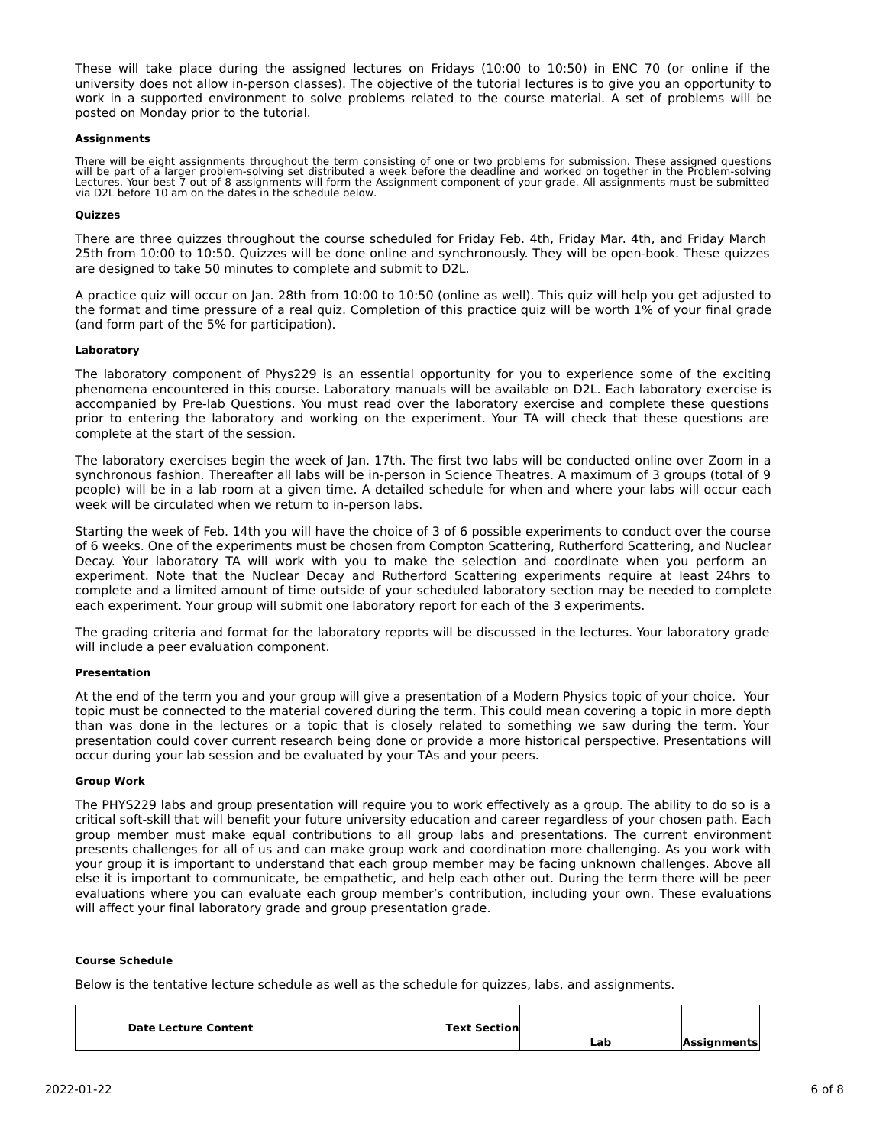These will take place during the assigned lectures on Fridays (10:00 to 10:50) in ENC 70 (or online if the university does not allow in-person classes). The objective of the tutorial lectures is to give you an opportunity to work in a supported environment to solve problems related to the course material. A set of problems will be posted on Monday prior to the tutorial.

#### **Assignments**

There will be eight assignments throughout the term consisting of one or two problems for submission. These assigned questions<br>will be part of a larger problem-solving set distributed a week before the deadline and worked via D2L before 10 am on the dates in the schedule below.

## **Quizzes**

There are three quizzes throughout the course scheduled for Friday Feb. 4th, Friday Mar. 4th, and Friday March 25th from 10:00 to 10:50. Quizzes will be done online and synchronously. They will be open-book. These quizzes are designed to take 50 minutes to complete and submit to D2L.

A practice quiz will occur on Jan. 28th from 10:00 to 10:50 (online as well). This quiz will help you get adjusted to the format and time pressure of a real quiz. Completion of this practice quiz will be worth 1% of your final grade (and form part of the 5% for participation).

## **Laboratory**

The laboratory component of Phys229 is an essential opportunity for you to experience some of the exciting phenomena encountered in this course. Laboratory manuals will be available on D2L. Each laboratory exercise is accompanied by Pre-lab Questions. You must read over the laboratory exercise and complete these questions prior to entering the laboratory and working on the experiment. Your TA will check that these questions are complete at the start of the session.

The laboratory exercises begin the week of Jan. 17th. The first two labs will be conducted online over Zoom in a synchronous fashion. Thereafter all labs will be in-person in Science Theatres. A maximum of 3 groups (total of 9 people) will be in a lab room at a given time. A detailed schedule for when and where your labs will occur each week will be circulated when we return to in-person labs.

Starting the week of Feb. 14th you will have the choice of 3 of 6 possible experiments to conduct over the course of 6 weeks. One of the experiments must be chosen from Compton Scattering, Rutherford Scattering, and Nuclear Decay. Your laboratory TA will work with you to make the selection and coordinate when you perform an experiment. Note that the Nuclear Decay and Rutherford Scattering experiments require at least 24hrs to complete and a limited amount of time outside of your scheduled laboratory section may be needed to complete each experiment. Your group will submit one laboratory report for each of the 3 experiments.

The grading criteria and format for the laboratory reports will be discussed in the lectures. Your laboratory grade will include a peer evaluation component.

#### **Presentation**

At the end of the term you and your group will give a presentation of a Modern Physics topic of your choice. Your topic must be connected to the material covered during the term. This could mean covering a topic in more depth than was done in the lectures or a topic that is closely related to something we saw during the term. Your presentation could cover current research being done or provide a more historical perspective. Presentations will occur during your lab session and be evaluated by your TAs and your peers.

#### **Group Work**

The PHYS229 labs and group presentation will require you to work effectively as a group. The ability to do so is a critical soft-skill that will benefit your future university education and career regardless of your chosen path. Each group member must make equal contributions to all group labs and presentations. The current environment presents challenges for all of us and can make group work and coordination more challenging. As you work with your group it is important to understand that each group member may be facing unknown challenges. Above all else it is important to communicate, be empathetic, and help each other out. During the term there will be peer evaluations where you can evaluate each group member's contribution, including your own. These evaluations will affect your final laboratory grade and group presentation grade.

## **Course Schedule**

Below is the tentative lecture schedule as well as the schedule for quizzes, labs, and assignments.

| <b>DatelLecture Content</b> | <b>Text Section</b> |     |             |
|-----------------------------|---------------------|-----|-------------|
|                             |                     | ∟ab | Assianments |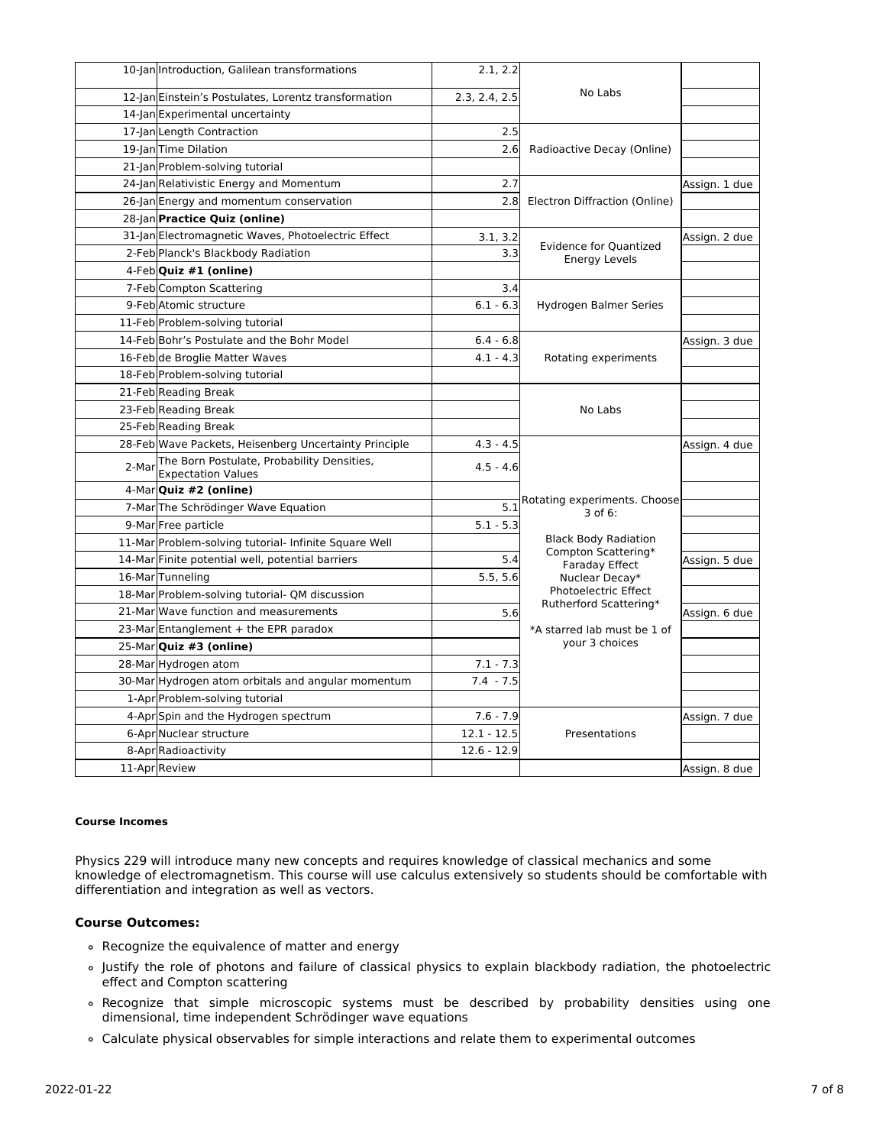|       | 10-Jan Introduction, Galilean transformations                           | 2.1, 2.2       |                                                       |               |
|-------|-------------------------------------------------------------------------|----------------|-------------------------------------------------------|---------------|
|       | 12-Jan Einstein's Postulates, Lorentz transformation                    | 2.3, 2.4, 2.5  | No Labs                                               |               |
|       | 14-Jan Experimental uncertainty                                         |                |                                                       |               |
|       | 17-Jan Length Contraction                                               | 2.5            |                                                       |               |
|       | 19-Jan Time Dilation                                                    | 2.6            | Radioactive Decay (Online)                            |               |
|       | 21-Jan Problem-solving tutorial                                         |                |                                                       |               |
|       | 24-Jan Relativistic Energy and Momentum                                 | 2.7            |                                                       | Assign. 1 due |
|       | 26-Jan Energy and momentum conservation                                 | 2.8            | Electron Diffraction (Online)                         |               |
|       | 28-Jan Practice Quiz (online)                                           |                |                                                       |               |
|       | 31-Jan Electromagnetic Waves, Photoelectric Effect                      | 3.1, 3.2       |                                                       | Assign. 2 due |
|       | 2-Feb Planck's Blackbody Radiation                                      | 3.3            | <b>Evidence for Quantized</b><br><b>Energy Levels</b> |               |
|       | 4-Feb Quiz #1 (online)                                                  |                |                                                       |               |
|       | 7-Feb Compton Scattering                                                | 3.4            |                                                       |               |
|       | 9-Feb Atomic structure                                                  | $6.1 - 6.3$    | Hydrogen Balmer Series                                |               |
|       | 11-Feb Problem-solving tutorial                                         |                |                                                       |               |
|       | 14-Feb Bohr's Postulate and the Bohr Model                              | $6.4 - 6.8$    |                                                       | Assign. 3 due |
|       | 16-Feb de Broglie Matter Waves                                          | $4.1 - 4.3$    | Rotating experiments                                  |               |
|       | 18-Feb Problem-solving tutorial                                         |                |                                                       |               |
|       | 21-Feb Reading Break                                                    |                |                                                       |               |
|       | 23-Feb Reading Break                                                    | No Labs        |                                                       |               |
|       | 25-Feb Reading Break                                                    |                |                                                       |               |
|       | 28-Feb Wave Packets, Heisenberg Uncertainty Principle                   | $4.3 - 4.5$    |                                                       | Assign. 4 due |
| 2-Mar | The Born Postulate, Probability Densities,<br><b>Expectation Values</b> | $4.5 - 4.6$    |                                                       |               |
|       | 4-MarQuiz #2 (online)                                                   |                |                                                       |               |
|       | 7-Mar The Schrödinger Wave Equation                                     | 5.1            | Rotating experiments. Choose<br>3 of 6:               |               |
|       | 9-Mar Free particle                                                     | $5.1 - 5.3$    |                                                       |               |
|       | 11-Mar Problem-solving tutorial- Infinite Square Well                   |                | <b>Black Body Radiation</b><br>Compton Scattering*    |               |
|       | 14-Mar Finite potential well, potential barriers                        | 5.4            | <b>Faraday Effect</b>                                 | Assign. 5 due |
|       | 16-Mar Tunneling                                                        | 5.5.5.6        | Nuclear Decay*                                        |               |
|       | 18-Mar Problem-solving tutorial- QM discussion                          |                | Photoelectric Effect<br>Rutherford Scattering*        |               |
|       | 21-Mar Wave function and measurements                                   | 5.6            |                                                       | Assign. 6 due |
|       | 23-Mar Entanglement + the EPR paradox                                   |                | *A starred lab must be 1 of                           |               |
|       | 25-Mar Quiz #3 (online)                                                 | your 3 choices |                                                       |               |
|       | 28-Mar Hydrogen atom                                                    | $7.1 - 7.3$    |                                                       |               |
|       | 30-Mar Hydrogen atom orbitals and angular momentum                      | $7.4 - 7.5$    |                                                       |               |
|       | 1-Apr Problem-solving tutorial                                          |                |                                                       |               |
|       | 4-Apr Spin and the Hydrogen spectrum                                    | $7.6 - 7.9$    |                                                       | Assign. 7 due |
|       | 6-Apr Nuclear structure                                                 | $12.1 - 12.5$  | Presentations                                         |               |
|       | 8-Apr Radioactivity                                                     | $12.6 - 12.9$  |                                                       |               |
|       | 11-Apr Review                                                           |                |                                                       | Assign. 8 due |

## **Course Incomes**

Physics 229 will introduce many new concepts and requires knowledge of classical mechanics and some knowledge of electromagnetism. This course will use calculus extensively so students should be comfortable with differentiation and integration as well as vectors.

# **Course Outcomes:**

- Recognize the equivalence of matter and energy
- Justify the role of photons and failure of classical physics to explain blackbody radiation, the photoelectric effect and Compton scattering
- Recognize that simple microscopic systems must be described by probability densities using one dimensional, time independent Schrödinger wave equations
- Calculate physical observables for simple interactions and relate them to experimental outcomes